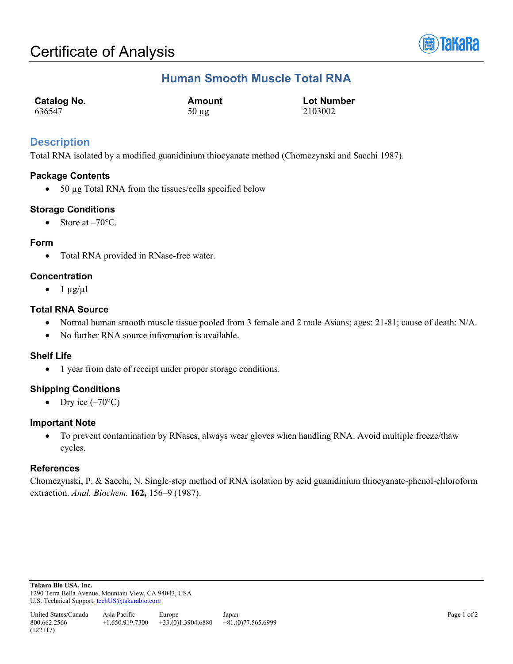

# **Human Smooth Muscle Total RNA**

| <b>Catalog No.</b> | Amount     | <b>Lot Number</b> |
|--------------------|------------|-------------------|
| 636547             | $50 \mu$ g | 2103002           |

## **Description**

Total RNA isolated by a modified guanidinium thiocyanate method (Chomczynski and Sacchi 1987).

### **Package Contents**

• 50 µg Total RNA from the tissues/cells specified below

## **Storage Conditions**

• Store at  $-70^{\circ}$ C.

### **Form**

• Total RNA provided in RNase-free water.

### **Concentration**

 $\bullet$  1  $\mu$ g/ $\mu$ l

### **Total RNA Source**

- Normal human smooth muscle tissue pooled from 3 female and 2 male Asians; ages: 21-81; cause of death: N/A.
- No further RNA source information is available.

### **Shelf Life**

• 1 year from date of receipt under proper storage conditions.

## **Shipping Conditions**

• Dry ice  $(-70^{\circ}C)$ 

### **Important Note**

• To prevent contamination by RNases, always wear gloves when handling RNA. Avoid multiple freeze/thaw cycles.

### **References**

Chomczynski, P. & Sacchi, N. Single-step method of RNA isolation by acid guanidinium thiocyanate-phenol-chloroform extraction. *Anal. Biochem.* **162,** 156–9 (1987).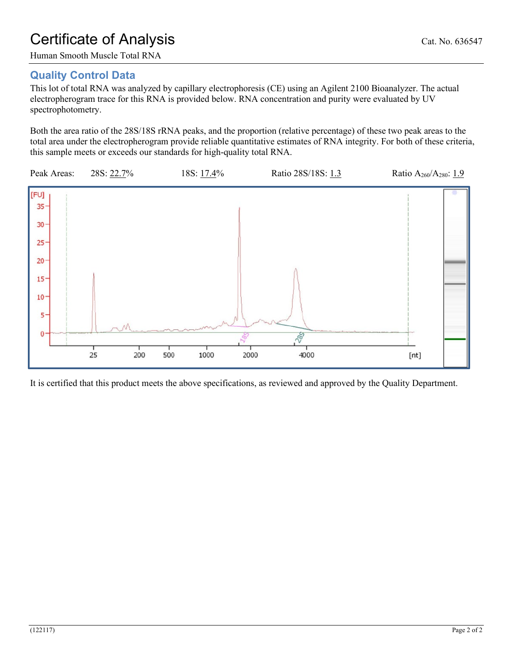# Certificate of Analysis Cat. No. 636547

Human Smooth Muscle Total RNA

# **Quality Control Data**

This lot of total RNA was analyzed by capillary electrophoresis (CE) using an Agilent 2100 Bioanalyzer. The actual electropherogram trace for this RNA is provided below. RNA concentration and purity were evaluated by UV spectrophotometry.

Both the area ratio of the 28S/18S rRNA peaks, and the proportion (relative percentage) of these two peak areas to the total area under the electropherogram provide reliable quantitative estimates of RNA integrity. For both of these criteria, this sample meets or exceeds our standards for high-quality total RNA.



It is certified that this product meets the above specifications, as reviewed and approved by the Quality Department.